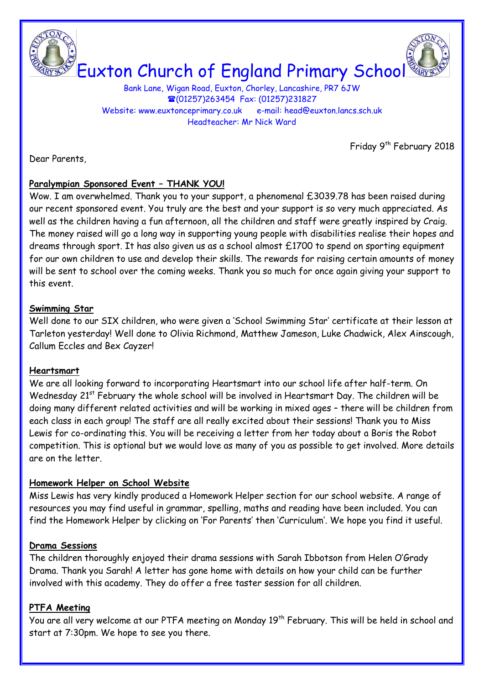

# Euxton Church of England Primary School

Bank Lane, Wigan Road, Euxton, Chorley, Lancashire, PR7 6JW (01257)263454 Fax: (01257)231827 Website: www.euxtonceprimary.co.uk e-mail: [head@euxton.lancs.sch.uk](mailto:head@euxton.lancs.sch.uk) Headteacher: Mr Nick Ward

Friday 9<sup>th</sup> February 2018

Dear Parents,

# **Paralympian Sponsored Event – THANK YOU!**

Wow. I am overwhelmed. Thank you to your support, a phenomenal £3039.78 has been raised during our recent sponsored event. You truly are the best and your support is so very much appreciated. As well as the children having a fun afternoon, all the children and staff were greatly inspired by Craig. The money raised will go a long way in supporting young people with disabilities realise their hopes and dreams through sport. It has also given us as a school almost £1700 to spend on sporting equipment for our own children to use and develop their skills. The rewards for raising certain amounts of money will be sent to school over the coming weeks. Thank you so much for once again giving your support to this event.

#### **Swimming Star**

Well done to our SIX children, who were given a 'School Swimming Star' certificate at their lesson at Tarleton yesterday! Well done to Olivia Richmond, Matthew Jameson, Luke Chadwick, Alex Ainscough, Callum Eccles and Bex Cayzer!

#### **Heartsmart**

We are all looking forward to incorporating Heartsmart into our school life after half-term. On Wednesday 21<sup>st</sup> February the whole school will be involved in Heartsmart Day. The children will be doing many different related activities and will be working in mixed ages – there will be children from each class in each group! The staff are all really excited about their sessions! Thank you to Miss Lewis for co-ordinating this. You will be receiving a letter from her today about a Boris the Robot competition. This is optional but we would love as many of you as possible to get involved. More details are on the letter.

# **Homework Helper on School Website**

Miss Lewis has very kindly produced a Homework Helper section for our school website. A range of resources you may find useful in grammar, spelling, maths and reading have been included. You can find the Homework Helper by clicking on 'For Parents' then 'Curriculum'. We hope you find it useful.

#### **Drama Sessions**

The children thoroughly enjoyed their drama sessions with Sarah Ibbotson from Helen O'Grady Drama. Thank you Sarah! A letter has gone home with details on how your child can be further involved with this academy. They do offer a free taster session for all children.

# **PTFA Meeting**

You are all very welcome at our PTFA meeting on Monday 19<sup>th</sup> February. This will be held in school and start at 7:30pm. We hope to see you there.